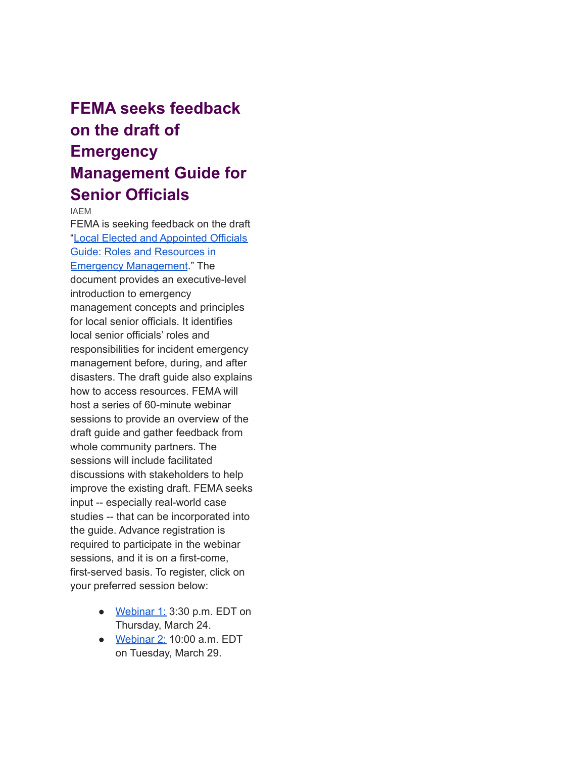## **FEMA seeks feedback on the draft of Emergency Management Guide for Senior Officials**

IAEM

FEMA is seeking feedback on the draft "Local Elected and [Appointed](https://nam04.safelinks.protection.outlook.com/?url=http%3A%2F%2Fsm1.multiview.com%2Ft%2FgcH1AAbbaBPWM41qQLQZxCXCfNxaJYkHLDPiaaaaJYkBRDYQLnaa%3Fs%3Dhcpvods~2531gpvbqe.det~amp%3Be%3Dfenxmfq~255zinxZsc.fcv~amp%3Bk%3De~amp%3Bw%3D&data=04%7C01%7Cdataya.resenois%40bison.howard.edu%7C2cbdbb0bc0ef4dac0f0308da0d891dfa%7C02ac0c07b75f46bf9b133630ba94bb69%7C0%7C0%7C637837179812969194%7CUnknown%7CTWFpbGZsb3d8eyJWIjoiMC4wLjAwMDAiLCJQIjoiV2luMzIiLCJBTiI6Ik1haWwiLCJXVCI6Mn0%3D%7C3000&sdata=UOCc6RpJ5Y%2FCt6fyggvK3fom%2F6H3zNs%2BhW6Myxxafkk%3D&reserved=0) Officials Guide: Roles and [Resources](https://nam04.safelinks.protection.outlook.com/?url=http%3A%2F%2Fsm1.multiview.com%2Ft%2FgcH1AAbbaBPWM41qQLQZxCXCfNxaJYkHLDPiaaaaJYkBRDYQLnaa%3Fs%3Dhcpvods~2531gpvbqe.det~amp%3Be%3Dfenxmfq~255zinxZsc.fcv~amp%3Bk%3De~amp%3Bw%3D&data=04%7C01%7Cdataya.resenois%40bison.howard.edu%7C2cbdbb0bc0ef4dac0f0308da0d891dfa%7C02ac0c07b75f46bf9b133630ba94bb69%7C0%7C0%7C637837179812969194%7CUnknown%7CTWFpbGZsb3d8eyJWIjoiMC4wLjAwMDAiLCJQIjoiV2luMzIiLCJBTiI6Ik1haWwiLCJXVCI6Mn0%3D%7C3000&sdata=UOCc6RpJ5Y%2FCt6fyggvK3fom%2F6H3zNs%2BhW6Myxxafkk%3D&reserved=0) in Emergency [Management](https://nam04.safelinks.protection.outlook.com/?url=http%3A%2F%2Fsm1.multiview.com%2Ft%2FgcH1AAbbaBPWM41qQLQZxCXCfNxaJYkHLDPiaaaaJYkBRDYQLnaa%3Fs%3Dhcpvods~2531gpvbqe.det~amp%3Be%3Dfenxmfq~255zinxZsc.fcv~amp%3Bk%3De~amp%3Bw%3D&data=04%7C01%7Cdataya.resenois%40bison.howard.edu%7C2cbdbb0bc0ef4dac0f0308da0d891dfa%7C02ac0c07b75f46bf9b133630ba94bb69%7C0%7C0%7C637837179812969194%7CUnknown%7CTWFpbGZsb3d8eyJWIjoiMC4wLjAwMDAiLCJQIjoiV2luMzIiLCJBTiI6Ik1haWwiLCJXVCI6Mn0%3D%7C3000&sdata=UOCc6RpJ5Y%2FCt6fyggvK3fom%2F6H3zNs%2BhW6Myxxafkk%3D&reserved=0)." The document provides an executive-level introduction to emergency management concepts and principles for local senior officials. It identifies local senior officials' roles and responsibilities for incident emergency management before, during, and after disasters. The draft guide also explains how to access resources. FEMA will host a series of 60-minute webinar sessions to provide an overview of the draft guide and gather feedback from whole community partners. The sessions will include facilitated discussions with stakeholders to help improve the existing draft. FEMA seeks input -- especially real-world case studies -- that can be incorporated into the guide. Advance registration is required to participate in the webinar sessions, and it is on a first-come, first-served basis. To register, click on your preferred session below:

- [Webinar](https://nam04.safelinks.protection.outlook.com/?url=http%3A%2F%2Fsm1.multiview.com%2Ft%2FgcH1AAbbaBPWM41qQLQZxCXCfNxaJYkHLDPiaaaaJYkBRDYQLnaa%3Fs%3Dhcpvods~2531gpvbqe.det~amp%3Be%3Dfenxmfq~255zinxZsc.fcv~amp%3Bk%3Df~amp%3Bw%3D&data=04%7C01%7Cdataya.resenois%40bison.howard.edu%7C2cbdbb0bc0ef4dac0f0308da0d891dfa%7C02ac0c07b75f46bf9b133630ba94bb69%7C0%7C0%7C637837179812969194%7CUnknown%7CTWFpbGZsb3d8eyJWIjoiMC4wLjAwMDAiLCJQIjoiV2luMzIiLCJBTiI6Ik1haWwiLCJXVCI6Mn0%3D%7C3000&sdata=amGE8gMoWVm7LxE7uJsNnNS1Rj0tgyJ4vRZdsPMvsCo%3D&reserved=0) 1: 3:30 p.m. EDT on Thursday, March 24.
- [Webinar](https://nam04.safelinks.protection.outlook.com/?url=http%3A%2F%2Fsm1.multiview.com%2Ft%2FgcH1AAbbaBPWM41qQLQZxCXCfNxaJYkHLDPiaaaaJYkBRDYQLnaa%3Fs%3Dhcpvods~2531gpvbqe.det~amp%3Be%3Dfenxmfq~255zinxZsc.fcv~amp%3Bk%3Dg~amp%3Bw%3D&data=04%7C01%7Cdataya.resenois%40bison.howard.edu%7C2cbdbb0bc0ef4dac0f0308da0d891dfa%7C02ac0c07b75f46bf9b133630ba94bb69%7C0%7C0%7C637837179812969194%7CUnknown%7CTWFpbGZsb3d8eyJWIjoiMC4wLjAwMDAiLCJQIjoiV2luMzIiLCJBTiI6Ik1haWwiLCJXVCI6Mn0%3D%7C3000&sdata=udJ0W5hLljwQkcxfeNJV8IWy3Eh280Z9KGhFjic%2BhCU%3D&reserved=0) 2: 10:00 a.m. EDT on Tuesday, March 29.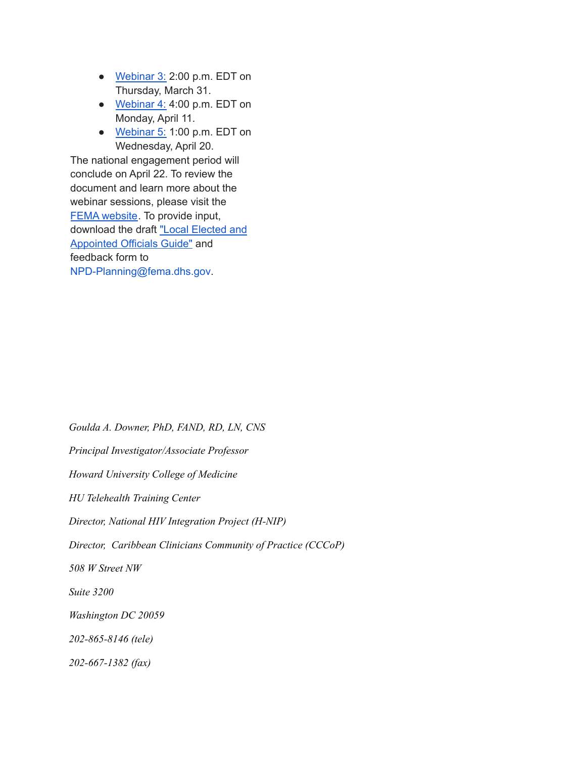- [Webinar](https://nam04.safelinks.protection.outlook.com/?url=http%3A%2F%2Fsm1.multiview.com%2Ft%2FgcH1AAbbaBPWM41qQLQZxCXCfNxaJYkHLDPiaaaaJYkBRDYQLnaa%3Fs%3Dhcpvods~2531gpvbqe.det~amp%3Be%3Dfenxmfq~255zinxZsc.fcv~amp%3Bk%3Dh~amp%3Bw%3D&data=04%7C01%7Cdataya.resenois%40bison.howard.edu%7C2cbdbb0bc0ef4dac0f0308da0d891dfa%7C02ac0c07b75f46bf9b133630ba94bb69%7C0%7C0%7C637837179812969194%7CUnknown%7CTWFpbGZsb3d8eyJWIjoiMC4wLjAwMDAiLCJQIjoiV2luMzIiLCJBTiI6Ik1haWwiLCJXVCI6Mn0%3D%7C3000&sdata=F3uv51QWhO3i7z0s2jQn8LJj4a4aDKQBcWgpVTnNBPI%3D&reserved=0) 3: 2:00 p.m. EDT on Thursday, March 31.
- [Webinar](https://nam04.safelinks.protection.outlook.com/?url=http%3A%2F%2Fsm1.multiview.com%2Ft%2FgcH1AAbbaBPWM41qQLQZxCXCfNxaJYkHLDPiaaaaJYkBRDYQLnaa%3Fs%3Dhcpvods~2531gpvbqe.det~amp%3Be%3Dfenxmfq~255zinxZsc.fcv~amp%3Bk%3Di~amp%3Bw%3D&data=04%7C01%7Cdataya.resenois%40bison.howard.edu%7C2cbdbb0bc0ef4dac0f0308da0d891dfa%7C02ac0c07b75f46bf9b133630ba94bb69%7C0%7C0%7C637837179812969194%7CUnknown%7CTWFpbGZsb3d8eyJWIjoiMC4wLjAwMDAiLCJQIjoiV2luMzIiLCJBTiI6Ik1haWwiLCJXVCI6Mn0%3D%7C3000&sdata=MRSp2%2Bg9TFXx9QormxmxON9YPbW9hWq%2F%2FlCFlJksxA8%3D&reserved=0) 4: 4:00 p.m. EDT on Monday, April 11.
- [Webinar](https://nam04.safelinks.protection.outlook.com/?url=http%3A%2F%2Fsm1.multiview.com%2Ft%2FgcH1AAbbaBPWM41qQLQZxCXCfNxaJYkHLDPiaaaaJYkBRDYQLnaa%3Fs%3Dhcpvods~2531gpvbqe.det~amp%3Be%3Dfenxmfq~255zinxZsc.fcv~amp%3Bk%3Dj~amp%3Bw%3D&data=04%7C01%7Cdataya.resenois%40bison.howard.edu%7C2cbdbb0bc0ef4dac0f0308da0d891dfa%7C02ac0c07b75f46bf9b133630ba94bb69%7C0%7C0%7C637837179813124982%7CUnknown%7CTWFpbGZsb3d8eyJWIjoiMC4wLjAwMDAiLCJQIjoiV2luMzIiLCJBTiI6Ik1haWwiLCJXVCI6Mn0%3D%7C3000&sdata=lAt9Zp5IP575PxwedcOLdBP86U%2F3SOuejSjEcaQwJ9k%3D&reserved=0) 5: 1:00 p.m. EDT on Wednesday, April 20.

The national engagement period will conclude on April 22. To review the document and learn more about the webinar sessions, please visit the FEMA [website](https://nam04.safelinks.protection.outlook.com/?url=http%3A%2F%2Fsm1.multiview.com%2Ft%2FgcH1AAbbaBPWM41qQLQZxCXCfNxaJYkHLDPiaaaaJYkBRDYQLnaa%3Fs%3Dhcpvods~2531gpvbqe.det~amp%3Be%3Dfenxmfq~255zinxZsc.fcv~amp%3Bk%3Dk~amp%3Bw%3D&data=04%7C01%7Cdataya.resenois%40bison.howard.edu%7C2cbdbb0bc0ef4dac0f0308da0d891dfa%7C02ac0c07b75f46bf9b133630ba94bb69%7C0%7C0%7C637837179813124982%7CUnknown%7CTWFpbGZsb3d8eyJWIjoiMC4wLjAwMDAiLCJQIjoiV2luMzIiLCJBTiI6Ik1haWwiLCJXVCI6Mn0%3D%7C3000&sdata=NxHRTV6qTmzJH1xbL2y4aREdhOQxWyqyM86IlmNI9Cs%3D&reserved=0). To provide input, download the draft "Local [Elected](https://nam04.safelinks.protection.outlook.com/?url=http%3A%2F%2Fsm1.multiview.com%2Ft%2FgcH1AAbbaBPWM41qQLQZxCXCfNxaJYkHLDPiaaaaJYkBRDYQLnaa%3Fs%3Dhcpvods~2531gpvbqe.det~amp%3Be%3Dfenxmfq~255zinxZsc.fcv~amp%3Bk%3Dl~amp%3Bw%3D&data=04%7C01%7Cdataya.resenois%40bison.howard.edu%7C2cbdbb0bc0ef4dac0f0308da0d891dfa%7C02ac0c07b75f46bf9b133630ba94bb69%7C0%7C0%7C637837179813124982%7CUnknown%7CTWFpbGZsb3d8eyJWIjoiMC4wLjAwMDAiLCJQIjoiV2luMzIiLCJBTiI6Ik1haWwiLCJXVCI6Mn0%3D%7C3000&sdata=2agCA6fGIvChd7crAhr8Kfj0%2FYvx3jF0dAXwJ7UTzhE%3D&reserved=0) and [Appointed](https://nam04.safelinks.protection.outlook.com/?url=http%3A%2F%2Fsm1.multiview.com%2Ft%2FgcH1AAbbaBPWM41qQLQZxCXCfNxaJYkHLDPiaaaaJYkBRDYQLnaa%3Fs%3Dhcpvods~2531gpvbqe.det~amp%3Be%3Dfenxmfq~255zinxZsc.fcv~amp%3Bk%3Dl~amp%3Bw%3D&data=04%7C01%7Cdataya.resenois%40bison.howard.edu%7C2cbdbb0bc0ef4dac0f0308da0d891dfa%7C02ac0c07b75f46bf9b133630ba94bb69%7C0%7C0%7C637837179813124982%7CUnknown%7CTWFpbGZsb3d8eyJWIjoiMC4wLjAwMDAiLCJQIjoiV2luMzIiLCJBTiI6Ik1haWwiLCJXVCI6Mn0%3D%7C3000&sdata=2agCA6fGIvChd7crAhr8Kfj0%2FYvx3jF0dAXwJ7UTzhE%3D&reserved=0) Officials Guide" and feedback form to NPD-Planning@fema.dhs.gov.

*Goulda A. Downer, PhD, FAND, RD, LN, CNS*

*Principal Investigator/Associate Professor*

*Howard University College of Medicine*

*HU Telehealth Training Center*

*Director, National HIV Integration Project (H-NIP)*

*Director, Caribbean Clinicians Community of Practice (CCCoP)*

*508 W Street NW*

*Suite 3200*

*Washington DC 20059*

*202-865-8146 (tele)*

*202-667-1382 (fax)*